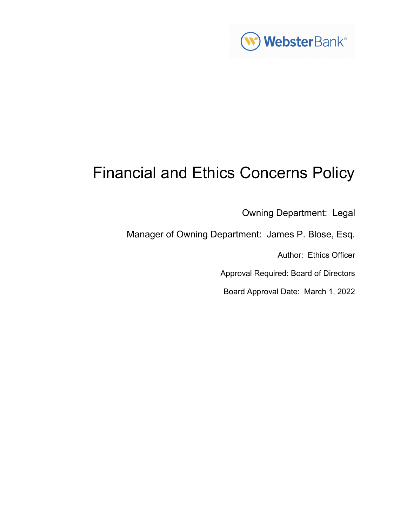

# Financial and Ethics Concerns Policy

Owning Department: Legal

Manager of Owning Department: James P. Blose, Esq.

Author: Ethics Officer

Approval Required: Board of Directors

Board Approval Date: March 1, 2022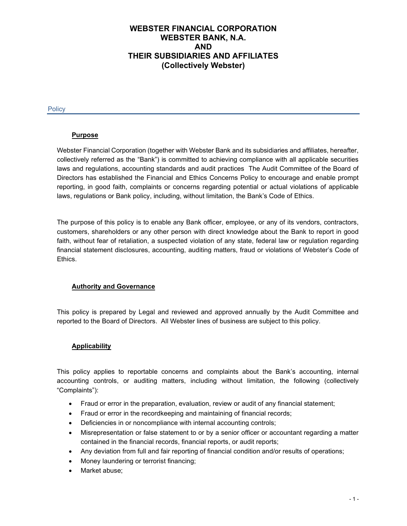# WEBSTER FINANCIAL CORPORATION WEBSTER BANK, N.A. AND THEIR SUBSIDIARIES AND AFFILIATES (Collectively Webster)

**Policy** 

# **Purpose**

Webster Financial Corporation (together with Webster Bank and its subsidiaries and affiliates, hereafter, collectively referred as the "Bank") is committed to achieving compliance with all applicable securities laws and regulations, accounting standards and audit practices The Audit Committee of the Board of Directors has established the Financial and Ethics Concerns Policy to encourage and enable prompt reporting, in good faith, complaints or concerns regarding potential or actual violations of applicable laws, regulations or Bank policy, including, without limitation, the Bank's Code of Ethics.

The purpose of this policy is to enable any Bank officer, employee, or any of its vendors, contractors, customers, shareholders or any other person with direct knowledge about the Bank to report in good faith, without fear of retaliation, a suspected violation of any state, federal law or regulation regarding financial statement disclosures, accounting, auditing matters, fraud or violations of Webster's Code of Ethics.

# Authority and Governance

This policy is prepared by Legal and reviewed and approved annually by the Audit Committee and reported to the Board of Directors. All Webster lines of business are subject to this policy.

# Applicability

This policy applies to reportable concerns and complaints about the Bank's accounting, internal accounting controls, or auditing matters, including without limitation, the following (collectively "Complaints"):

- Fraud or error in the preparation, evaluation, review or audit of any financial statement;
- Fraud or error in the recordkeeping and maintaining of financial records;
- Deficiencies in or noncompliance with internal accounting controls;
- Misrepresentation or false statement to or by a senior officer or accountant regarding a matter contained in the financial records, financial reports, or audit reports;
- Any deviation from full and fair reporting of financial condition and/or results of operations;
- Money laundering or terrorist financing;
- Market abuse;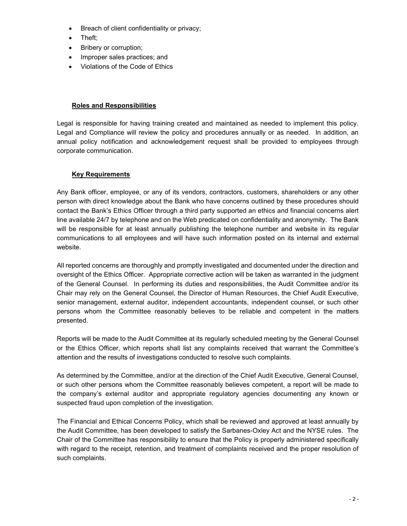- Breach of client confidentiality or privacy;
- Theft;
- Bribery or corruption;
- Improper sales practices; and
- Violations of the Code of Ethics

## Roles and Responsibilities

Legal is responsible for having training created and maintained as needed to implement this policy. Legal and Compliance will review the policy and procedures annually or as needed. In addition, an annual policy notification and acknowledgement request shall be provided to employees through corporate communication.

# Key Requirements

Any Bank officer, employee, or any of its vendors, contractors, customers, shareholders or any other person with direct knowledge about the Bank who have concerns outlined by these procedures should contact the Bank's Ethics Officer through a third party supported an ethics and financial concerns alert line available 24/7 by telephone and on the Web predicated on confidentiality and anonymity. The Bank will be responsible for at least annually publishing the telephone number and website in its regular communications to all employees and will have such information posted on its internal and external website.

All reported concerns are thoroughly and promptly investigated and documented under the direction and oversight of the Ethics Officer. Appropriate corrective action will be taken as warranted in the judgment of the General Counsel. In performing its duties and responsibilities, the Audit Committee and/or its Chair may rely on the General Counsel, the Director of Human Resources, the Chief Audit Executive, senior management, external auditor, independent accountants, independent counsel, or such other persons whom the Committee reasonably believes to be reliable and competent in the matters presented.

Reports will be made to the Audit Committee at its regularly scheduled meeting by the General Counsel or the Ethics Officer, which reports shall list any complaints received that warrant the Committee's attention and the results of investigations conducted to resolve such complaints.

As determined by the Committee, and/or at the direction of the Chief Audit Executive, General Counsel, or such other persons whom the Committee reasonably believes competent, a report will be made to the company's external auditor and appropriate regulatory agencies documenting any known or suspected fraud upon completion of the investigation.

The Financial and Ethical Concerns Policy, which shall be reviewed and approved at least annually by the Audit Committee, has been developed to satisfy the Sarbanes-Oxley Act and the NYSE rules. The Chair of the Committee has responsibility to ensure that the Policy is properly administered specifically with regard to the receipt, retention, and treatment of complaints received and the proper resolution of such complaints.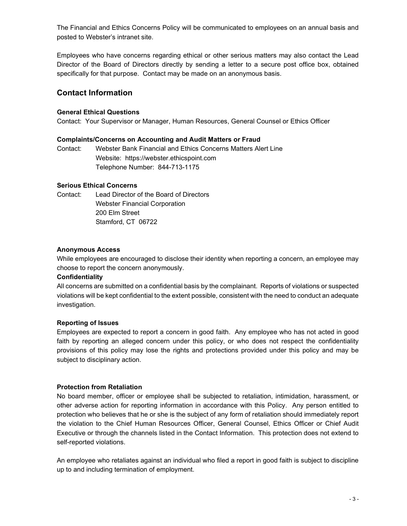The Financial and Ethics Concerns Policy will be communicated to employees on an annual basis and posted to Webster's intranet site.

Employees who have concerns regarding ethical or other serious matters may also contact the Lead Director of the Board of Directors directly by sending a letter to a secure post office box, obtained specifically for that purpose. Contact may be made on an anonymous basis.

# Contact Information

## General Ethical Questions

Contact: Your Supervisor or Manager, Human Resources, General Counsel or Ethics Officer

#### Complaints/Concerns on Accounting and Audit Matters or Fraud

Contact: Webster Bank Financial and Ethics Concerns Matters Alert Line Website: https://webster.ethicspoint.com Telephone Number: 844-713-1175

#### Serious Ethical Concerns

Contact: Lead Director of the Board of Directors Webster Financial Corporation 200 Elm Street Stamford, CT 06722

#### Anonymous Access

While employees are encouraged to disclose their identity when reporting a concern, an employee may choose to report the concern anonymously.

#### **Confidentiality**

All concerns are submitted on a confidential basis by the complainant. Reports of violations or suspected violations will be kept confidential to the extent possible, consistent with the need to conduct an adequate investigation.

# Reporting of Issues

Employees are expected to report a concern in good faith. Any employee who has not acted in good faith by reporting an alleged concern under this policy, or who does not respect the confidentiality provisions of this policy may lose the rights and protections provided under this policy and may be subject to disciplinary action.

#### Protection from Retaliation

No board member, officer or employee shall be subjected to retaliation, intimidation, harassment, or other adverse action for reporting information in accordance with this Policy. Any person entitled to protection who believes that he or she is the subject of any form of retaliation should immediately report the violation to the Chief Human Resources Officer, General Counsel, Ethics Officer or Chief Audit Executive or through the channels listed in the Contact Information. This protection does not extend to self-reported violations.

An employee who retaliates against an individual who filed a report in good faith is subject to discipline up to and including termination of employment.